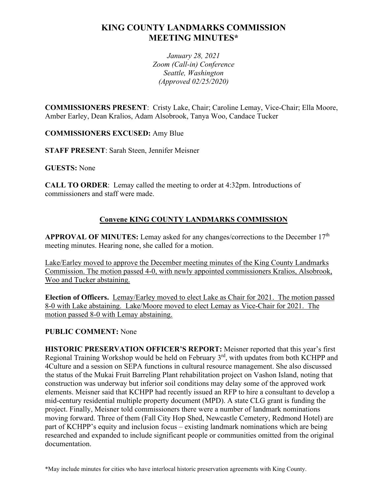# **KING COUNTY LANDMARKS COMMISSION MEETING MINUTES\***

*January 28, 2021 Zoom (Call-in) Conference Seattle, Washington (Approved 02/25/2020)*

**COMMISSIONERS PRESENT**: Cristy Lake, Chair; Caroline Lemay, Vice-Chair; Ella Moore, Amber Earley, Dean Kralios, Adam Alsobrook, Tanya Woo, Candace Tucker

**COMMISSIONERS EXCUSED:** Amy Blue

**STAFF PRESENT**: Sarah Steen, Jennifer Meisner

**GUESTS:** None

**CALL TO ORDER**: Lemay called the meeting to order at 4:32pm. Introductions of commissioners and staff were made.

## **Convene KING COUNTY LANDMARKS COMMISSION**

**APPROVAL OF MINUTES:** Lemay asked for any changes/corrections to the December 17th meeting minutes. Hearing none, she called for a motion.

Lake/Earley moved to approve the December meeting minutes of the King County Landmarks Commission. The motion passed 4-0, with newly appointed commissioners Kralios, Alsobrook, Woo and Tucker abstaining.

**Election of Officers.** Lemay/Earley moved to elect Lake as Chair for 2021. The motion passed 8-0 with Lake abstaining. Lake/Moore moved to elect Lemay as Vice-Chair for 2021. The motion passed 8-0 with Lemay abstaining.

### **PUBLIC COMMENT:** None

**HISTORIC PRESERVATION OFFICER'S REPORT:** Meisner reported that this year's first Regional Training Workshop would be held on February 3rd, with updates from both KCHPP and 4Culture and a session on SEPA functions in cultural resource management. She also discussed the status of the Mukai Fruit Barreling Plant rehabilitation project on Vashon Island, noting that construction was underway but inferior soil conditions may delay some of the approved work elements. Meisner said that KCHPP had recently issued an RFP to hire a consultant to develop a mid-century residential multiple property document (MPD). A state CLG grant is funding the project. Finally, Meisner told commissioners there were a number of landmark nominations moving forward. Three of them (Fall City Hop Shed, Newcastle Cemetery, Redmond Hotel) are part of KCHPP's equity and inclusion focus – existing landmark nominations which are being researched and expanded to include significant people or communities omitted from the original documentation.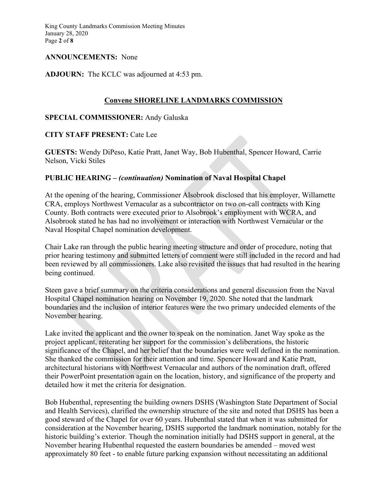King County Landmarks Commission Meeting Minutes January 28, 2020 Page **2** of **8**

### **ANNOUNCEMENTS:** None

### **ADJOURN:** The KCLC was adjourned at 4:53 pm.

### **Convene SHORELINE LANDMARKS COMMISSION**

### **SPECIAL COMMISSIONER:** Andy Galuska

### **CITY STAFF PRESENT:** Cate Lee

**GUESTS:** Wendy DiPeso, Katie Pratt, Janet Way, Bob Hubenthal, Spencer Howard, Carrie Nelson, Vicki Stiles

### **PUBLIC HEARING –** *(continuation)* **Nomination of Naval Hospital Chapel**

At the opening of the hearing, Commissioner Alsobrook disclosed that his employer, Willamette CRA, employs Northwest Vernacular as a subcontractor on two on-call contracts with King County. Both contracts were executed prior to Alsobrook's employment with WCRA, and Alsobrook stated he has had no involvement or interaction with Northwest Vernacular or the Naval Hospital Chapel nomination development.

Chair Lake ran through the public hearing meeting structure and order of procedure, noting that prior hearing testimony and submitted letters of comment were still included in the record and had been reviewed by all commissioners. Lake also revisited the issues that had resulted in the hearing being continued.

Steen gave a brief summary on the criteria considerations and general discussion from the Naval Hospital Chapel nomination hearing on November 19, 2020. She noted that the landmark boundaries and the inclusion of interior features were the two primary undecided elements of the November hearing.

Lake invited the applicant and the owner to speak on the nomination. Janet Way spoke as the project applicant, reiterating her support for the commission's deliberations, the historic significance of the Chapel, and her belief that the boundaries were well defined in the nomination. She thanked the commission for their attention and time. Spencer Howard and Katie Pratt, architectural historians with Northwest Vernacular and authors of the nomination draft, offered their PowerPoint presentation again on the location, history, and significance of the property and detailed how it met the criteria for designation.

Bob Hubenthal, representing the building owners DSHS (Washington State Department of Social and Health Services), clarified the ownership structure of the site and noted that DSHS has been a good steward of the Chapel for over 60 years. Hubenthal stated that when it was submitted for consideration at the November hearing, DSHS supported the landmark nomination, notably for the historic building's exterior. Though the nomination initially had DSHS support in general, at the November hearing Hubenthal requested the eastern boundaries be amended – moved west approximately 80 feet - to enable future parking expansion without necessitating an additional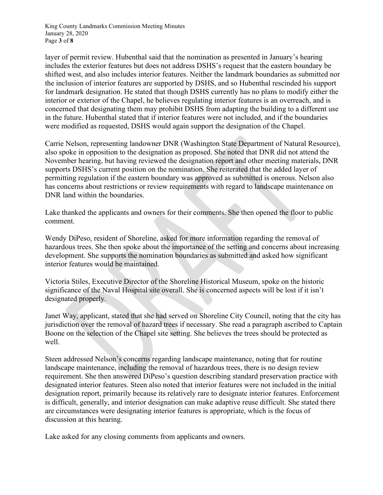King County Landmarks Commission Meeting Minutes January 28, 2020 Page **3** of **8**

layer of permit review. Hubenthal said that the nomination as presented in January's hearing includes the exterior features but does not address DSHS's request that the eastern boundary be shifted west, and also includes interior features. Neither the landmark boundaries as submitted nor the inclusion of interior features are supported by DSHS, and so Hubenthal rescinded his support for landmark designation. He stated that though DSHS currently has no plans to modify either the interior or exterior of the Chapel, he believes regulating interior features is an overreach, and is concerned that designating them may prohibit DSHS from adapting the building to a different use in the future. Hubenthal stated that if interior features were not included, and if the boundaries were modified as requested, DSHS would again support the designation of the Chapel.

Carrie Nelson, representing landowner DNR (Washington State Department of Natural Resource), also spoke in opposition to the designation as proposed. She noted that DNR did not attend the November hearing, but having reviewed the designation report and other meeting materials, DNR supports DSHS's current position on the nomination. She reiterated that the added layer of permitting regulation if the eastern boundary was approved as submitted is onerous. Nelson also has concerns about restrictions or review requirements with regard to landscape maintenance on DNR land within the boundaries.

Lake thanked the applicants and owners for their comments. She then opened the floor to public comment.

Wendy DiPeso, resident of Shoreline, asked for more information regarding the removal of hazardous trees. She then spoke about the importance of the setting and concerns about increasing development. She supports the nomination boundaries as submitted and asked how significant interior features would be maintained.

Victoria Stiles, Executive Director of the Shoreline Historical Museum, spoke on the historic significance of the Naval Hospital site overall. She is concerned aspects will be lost if it isn't designated properly.

Janet Way, applicant, stated that she had served on Shoreline City Council, noting that the city has jurisdiction over the removal of hazard trees if necessary. She read a paragraph ascribed to Captain Boone on the selection of the Chapel site setting. She believes the trees should be protected as well.

Steen addressed Nelson's concerns regarding landscape maintenance, noting that for routine landscape maintenance, including the removal of hazardous trees, there is no design review requirement. She then answered DiPeso's question describing standard preservation practice with designated interior features. Steen also noted that interior features were not included in the initial designation report, primarily because its relatively rare to designate interior features. Enforcement is difficult, generally, and interior designation can make adaptive reuse difficult. She stated there are circumstances were designating interior features is appropriate, which is the focus of discussion at this hearing.

Lake asked for any closing comments from applicants and owners.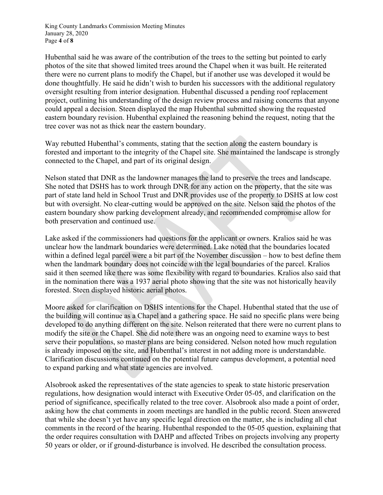King County Landmarks Commission Meeting Minutes January 28, 2020 Page **4** of **8**

Hubenthal said he was aware of the contribution of the trees to the setting but pointed to early photos of the site that showed limited trees around the Chapel when it was built. He reiterated there were no current plans to modify the Chapel, but if another use was developed it would be done thoughtfully. He said he didn't wish to burden his successors with the additional regulatory oversight resulting from interior designation. Hubenthal discussed a pending roof replacement project, outlining his understanding of the design review process and raising concerns that anyone could appeal a decision. Steen displayed the map Hubenthal submitted showing the requested eastern boundary revision. Hubenthal explained the reasoning behind the request, noting that the tree cover was not as thick near the eastern boundary.

Way rebutted Hubenthal's comments, stating that the section along the eastern boundary is forested and important to the integrity of the Chapel site. She maintained the landscape is strongly connected to the Chapel, and part of its original design.

Nelson stated that DNR as the landowner manages the land to preserve the trees and landscape. She noted that DSHS has to work through DNR for any action on the property, that the site was part of state land held in School Trust and DNR provides use of the property to DSHS at low cost but with oversight. No clear-cutting would be approved on the site. Nelson said the photos of the eastern boundary show parking development already, and recommended compromise allow for both preservation and continued use.

Lake asked if the commissioners had questions for the applicant or owners. Kralios said he was unclear how the landmark boundaries were determined. Lake noted that the boundaries located within a defined legal parcel were a bit part of the November discussion – how to best define them when the landmark boundary does not coincide with the legal boundaries of the parcel. Kralios said it then seemed like there was some flexibility with regard to boundaries. Kralios also said that in the nomination there was a 1937 aerial photo showing that the site was not historically heavily forested. Steen displayed historic aerial photos.

Moore asked for clarification on DSHS intentions for the Chapel. Hubenthal stated that the use of the building will continue as a Chapel and a gathering space. He said no specific plans were being developed to do anything different on the site. Nelson reiterated that there were no current plans to modify the site or the Chapel. She did note there was an ongoing need to examine ways to best serve their populations, so master plans are being considered. Nelson noted how much regulation is already imposed on the site, and Hubenthal's interest in not adding more is understandable. Clarification discussions continued on the potential future campus development, a potential need to expand parking and what state agencies are involved.

Alsobrook asked the representatives of the state agencies to speak to state historic preservation regulations, how designation would interact with Executive Order 05-05, and clarification on the period of significance, specifically related to the tree cover. Alsobrook also made a point of order, asking how the chat comments in zoom meetings are handled in the public record. Steen answered that while she doesn't yet have any specific legal direction on the matter, she is including all chat comments in the record of the hearing. Hubenthal responded to the 05-05 question, explaining that the order requires consultation with DAHP and affected Tribes on projects involving any property 50 years or older, or if ground-disturbance is involved. He described the consultation process.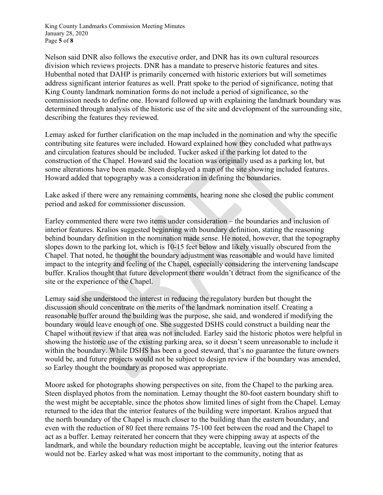King County Landmarks Commission Meeting Minutes January 28, 2020 Page **5** of **8**

Nelson said DNR also follows the executive order, and DNR has its own cultural resources division which reviews projects. DNR has a mandate to preserve historic features and sites. Hubenthal noted that DAHP is primarily concerned with historic exteriors but will sometimes address significant interior features as well. Pratt spoke to the period of significance, noting that King County landmark nomination forms do not include a period of significance, so the commission needs to define one. Howard followed up with explaining the landmark boundary was determined through analysis of the historic use of the site and development of the surrounding site, describing the features they reviewed.

Lemay asked for further clarification on the map included in the nomination and why the specific contributing site features were included. Howard explained how they concluded what pathways and circulation features should be included. Tucker asked if the parking lot dated to the construction of the Chapel. Howard said the location was originally used as a parking lot, but some alterations have been made. Steen displayed a map of the site showing included features. Howard added that topography was a consideration in defining the boundaries.

Lake asked if there were any remaining comments, hearing none she closed the public comment period and asked for commissioner discussion.

Earley commented there were two items under consideration – the boundaries and inclusion of interior features. Kralios suggested beginning with boundary definition, stating the reasoning behind boundary definition in the nomination made sense. He noted, however, that the topography slopes down to the parking lot, which is 10-15 feet below and likely visually obscured from the Chapel. That noted, he thought the boundary adjustment was reasonable and would have limited impact to the integrity and feeling of the Chapel, especially considering the intervening landscape buffer. Kralios thought that future development there wouldn't detract from the significance of the site or the experience of the Chapel.

Lemay said she understood the interest in reducing the regulatory burden but thought the discussion should concentrate on the merits of the landmark nomination itself. Creating a reasonable buffer around the building was the purpose, she said, and wondered if modifying the boundary would leave enough of one. She suggested DSHS could construct a building near the Chapel without review if that area was not included. Earley said the historic photos were helpful in showing the historic use of the existing parking area, so it doesn't seem unreasonable to include it within the boundary. While DSHS has been a good steward, that's no guarantee the future owners would be, and future projects would not be subject to design review if the boundary was amended, so Earley thought the boundary as proposed was appropriate.

Moore asked for photographs showing perspectives on site, from the Chapel to the parking area. Steen displayed photos from the nomination. Lemay thought the 80-foot eastern boundary shift to the west might be acceptable, since the photos show limited lines of sight from the Chapel. Lemay returned to the idea that the interior features of the building were important. Kralios argued that the north boundary of the Chapel is much closer to the building than the eastern boundary, and even with the reduction of 80 feet there remains 75-100 feet between the road and the Chapel to act as a buffer. Lemay reiterated her concern that they were chipping away at aspects of the landmark, and while the boundary reduction might be acceptable, leaving out the interior features would not be. Earley asked what was most important to the community, noting that as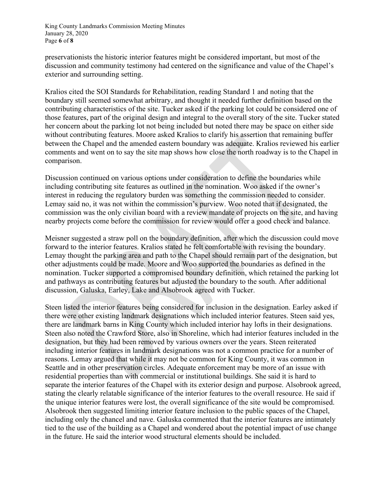King County Landmarks Commission Meeting Minutes January 28, 2020 Page **6** of **8**

preservationists the historic interior features might be considered important, but most of the discussion and community testimony had centered on the significance and value of the Chapel's exterior and surrounding setting.

Kralios cited the SOI Standards for Rehabilitation, reading Standard 1 and noting that the boundary still seemed somewhat arbitrary, and thought it needed further definition based on the contributing characteristics of the site. Tucker asked if the parking lot could be considered one of those features, part of the original design and integral to the overall story of the site. Tucker stated her concern about the parking lot not being included but noted there may be space on either side without contributing features. Moore asked Kralios to clarify his assertion that remaining buffer between the Chapel and the amended eastern boundary was adequate. Kralios reviewed his earlier comments and went on to say the site map shows how close the north roadway is to the Chapel in comparison.

Discussion continued on various options under consideration to define the boundaries while including contributing site features as outlined in the nomination. Woo asked if the owner's interest in reducing the regulatory burden was something the commission needed to consider. Lemay said no, it was not within the commission's purview. Woo noted that if designated, the commission was the only civilian board with a review mandate of projects on the site, and having nearby projects come before the commission for review would offer a good check and balance.

Meisner suggested a straw poll on the boundary definition, after which the discussion could move forward to the interior features. Kralios stated he felt comfortable with revising the boundary. Lemay thought the parking area and path to the Chapel should remain part of the designation, but other adjustments could be made. Moore and Woo supported the boundaries as defined in the nomination. Tucker supported a compromised boundary definition, which retained the parking lot and pathways as contributing features but adjusted the boundary to the south. After additional discussion, Galuska, Earley, Lake and Alsobrook agreed with Tucker.

Steen listed the interior features being considered for inclusion in the designation. Earley asked if there were other existing landmark designations which included interior features. Steen said yes, there are landmark barns in King County which included interior hay lofts in their designations. Steen also noted the Crawford Store, also in Shoreline, which had interior features included in the designation, but they had been removed by various owners over the years. Steen reiterated including interior features in landmark designations was not a common practice for a number of reasons. Lemay argued that while it may not be common for King County, it was common in Seattle and in other preservation circles. Adequate enforcement may be more of an issue with residential properties than with commercial or institutional buildings. She said it is hard to separate the interior features of the Chapel with its exterior design and purpose. Alsobrook agreed, stating the clearly relatable significance of the interior features to the overall resource. He said if the unique interior features were lost, the overall significance of the site would be compromised. Alsobrook then suggested limiting interior feature inclusion to the public spaces of the Chapel, including only the chancel and nave. Galuska commented that the interior features are intimately tied to the use of the building as a Chapel and wondered about the potential impact of use change in the future. He said the interior wood structural elements should be included.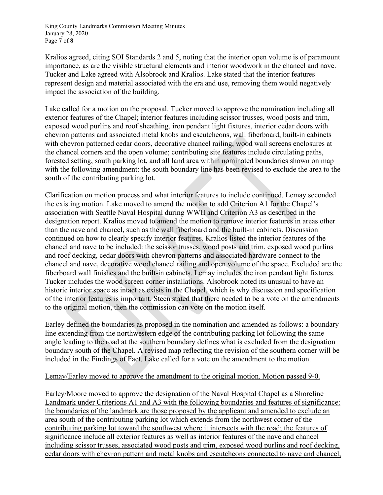King County Landmarks Commission Meeting Minutes January 28, 2020 Page **7** of **8**

Kralios agreed, citing SOI Standards 2 and 5, noting that the interior open volume is of paramount importance, as are the visible structural elements and interior woodwork in the chancel and nave. Tucker and Lake agreed with Alsobrook and Kralios. Lake stated that the interior features represent design and material associated with the era and use, removing them would negatively impact the association of the building.

Lake called for a motion on the proposal. Tucker moved to approve the nomination including all exterior features of the Chapel; interior features including scissor trusses, wood posts and trim, exposed wood purlins and roof sheathing, iron pendant light fixtures, interior cedar doors with chevron patterns and associated metal knobs and escutcheons, wall fiberboard, built-in cabinets with chevron patterned cedar doors, decorative chancel railing, wood wall screens enclosures at the chancel corners and the open volume; contributing site features include circulating paths, forested setting, south parking lot, and all land area within nominated boundaries shown on map with the following amendment: the south boundary line has been revised to exclude the area to the south of the contributing parking lot.

Clarification on motion process and what interior features to include continued. Lemay seconded the existing motion. Lake moved to amend the motion to add Criterion A1 for the Chapel's association with Seattle Naval Hospital during WWII and Criterion A3 as described in the designation report. Kralios moved to amend the motion to remove interior features in areas other than the nave and chancel, such as the wall fiberboard and the built-in cabinets. Discussion continued on how to clearly specify interior features. Kralios listed the interior features of the chancel and nave to be included: the scissor trusses, wood posts and trim, exposed wood purlins and roof decking, cedar doors with chevron patterns and associated hardware connect to the chancel and nave, decorative wood chancel railing and open volume of the space. Excluded are the fiberboard wall finishes and the built-in cabinets. Lemay includes the iron pendant light fixtures. Tucker includes the wood screen corner installations. Alsobrook noted its unusual to have an historic interior space as intact as exists in the Chapel, which is why discussion and specification of the interior features is important. Steen stated that there needed to be a vote on the amendments to the original motion, then the commission can vote on the motion itself.

Earley defined the boundaries as proposed in the nomination and amended as follows: a boundary line extending from the northwestern edge of the contributing parking lot following the same angle leading to the road at the southern boundary defines what is excluded from the designation boundary south of the Chapel. A revised map reflecting the revision of the southern corner will be included in the Findings of Fact. Lake called for a vote on the amendment to the motion.

### Lemay/Earley moved to approve the amendment to the original motion. Motion passed 9-0.

Earley/Moore moved to approve the designation of the Naval Hospital Chapel as a Shoreline Landmark under Criterions A1 and A3 with the following boundaries and features of significance: the boundaries of the landmark are those proposed by the applicant and amended to exclude an area south of the contributing parking lot which extends from the northwest corner of the contributing parking lot toward the southwest where it intersects with the road; the features of significance include all exterior features as well as interior features of the nave and chancel including scissor trusses, associated wood posts and trim, exposed wood purlins and roof decking, cedar doors with chevron pattern and metal knobs and escutcheons connected to nave and chancel,